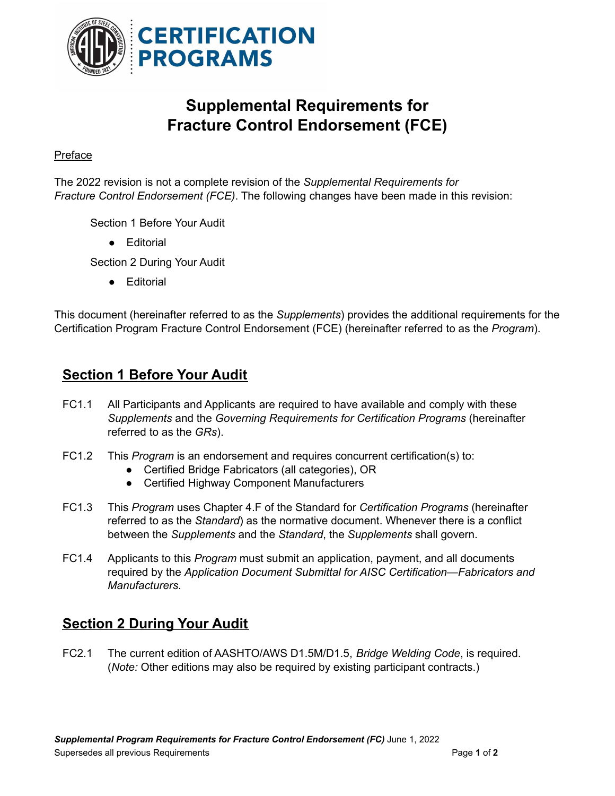

## **Supplemental Requirements for Fracture Control Endorsement (FCE)**

## Preface

The 2022 revision is not a complete revision of the *Supplemental Requirements for Fracture Control Endorsement (FCE)*. The following changes have been made in this revision:

Section 1 Before Your Audit

● Editorial

Section 2 During Your Audit

● Editorial

This document (hereinafter referred to as the *Supplements*) provides the additional requirements for the Certification Program Fracture Control Endorsement (FCE) (hereinafter referred to as the *Program*).

## **Section 1 Before Your Audit**

- FC1.1 All Participants and Applicants are required to have available and comply with these *Supplements* and the *Governing Requirements for Certification Programs* (hereinafter referred to as the *GRs*).
- FC1.2 This *Program* is an endorsement and requires concurrent certification(s) to:
	- Certified Bridge Fabricators (all categories), OR
	- Certified Highway Component Manufacturers
- FC1.3 This *Program* uses Chapter 4.F of the Standard for *Certification Programs* (hereinafter referred to as the *Standard*) as the normative document. Whenever there is a conflict between the *Supplements* and the *Standard*, the *Supplements* shall govern.
- FC1.4 Applicants to this *Program* must submit an application, payment, and all documents required by the *Application Document Submittal for AISC Certification—Fabricators and Manufacturers*.

## **Section 2 During Your Audit**

FC2.1 The current edition of AASHTO/AWS D1.5M/D1.5, *Bridge Welding Code*, is required. (*Note:* Other editions may also be required by existing participant contracts.)